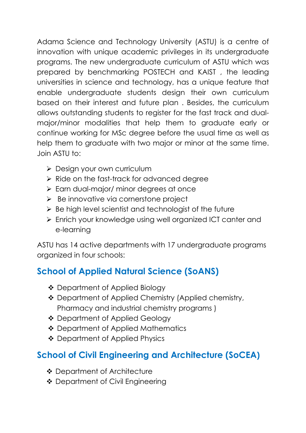Adama Science and Technology University (ASTU) is a centre of innovation with unique academic privileges in its undergraduate programs. The new undergraduate curriculum of ASTU which was prepared by benchmarking POSTECH and KAIST , the leading universities in science and technology, has a unique feature that enable undergraduate students design their own curriculum based on their interest and future plan . Besides, the curriculum allows outstanding students to register for the fast track and dualmajor/minor modalities that help them to graduate early or continue working for MSc degree before the usual time as well as help them to graduate with two major or minor at the same time. Join ASTU to:

- **>** Design your own curriculum
- $\triangleright$  Ride on the fast-track for advanced degree
- Earn dual-major/ minor degrees at once
- $\triangleright$  Be innovative via cornerstone project
- $\triangleright$  Be high level scientist and technologist of the future
- Enrich your knowledge using well organized ICT canter and e-learning

ASTU has 14 active departments with 17 undergraduate programs organized in four schools:

## **School of Applied Natural Science (SoANS)**

- ❖ Department of Applied Biology
- Department of Applied Chemistry (Applied chemistry, Pharmacy and industrial chemistry programs )
- ❖ Department of Applied Geology
- ❖ Department of Applied Mathematics
- ❖ Department of Applied Physics

## **School of Civil Engineering and Architecture (SoCEA)**

- ❖ Department of Architecture
- ◆ Department of Civil Engineering